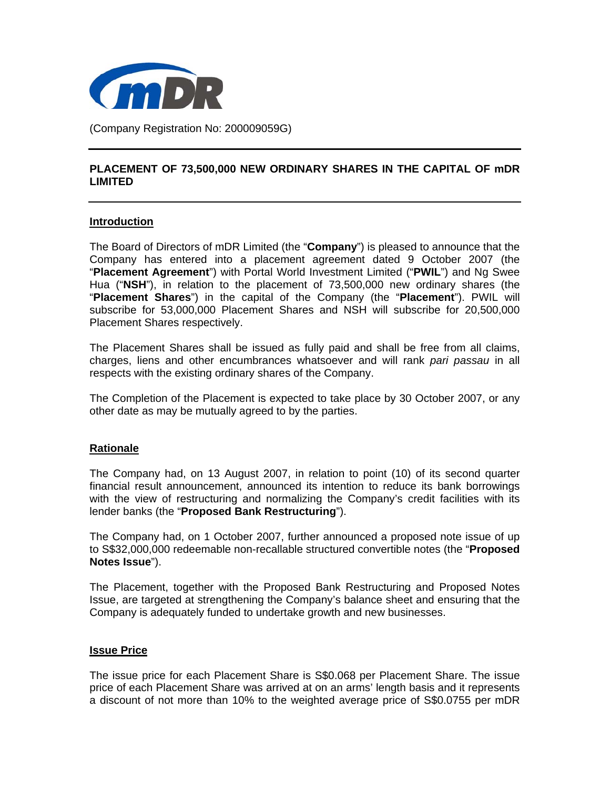

## **PLACEMENT OF 73,500,000 NEW ORDINARY SHARES IN THE CAPITAL OF mDR LIMITED**

# **Introduction**

The Board of Directors of mDR Limited (the "**Company**") is pleased to announce that the Company has entered into a placement agreement dated 9 October 2007 (the "**Placement Agreement**") with Portal World Investment Limited ("**PWIL**") and Ng Swee Hua ("**NSH**"), in relation to the placement of 73,500,000 new ordinary shares (the "**Placement Shares**") in the capital of the Company (the "**Placement**"). PWIL will subscribe for 53,000,000 Placement Shares and NSH will subscribe for 20,500,000 Placement Shares respectively.

The Placement Shares shall be issued as fully paid and shall be free from all claims, charges, liens and other encumbrances whatsoever and will rank *pari passau* in all respects with the existing ordinary shares of the Company.

The Completion of the Placement is expected to take place by 30 October 2007, or any other date as may be mutually agreed to by the parties.

# **Rationale**

The Company had, on 13 August 2007, in relation to point (10) of its second quarter financial result announcement, announced its intention to reduce its bank borrowings with the view of restructuring and normalizing the Company's credit facilities with its lender banks (the "**Proposed Bank Restructuring**").

The Company had, on 1 October 2007, further announced a proposed note issue of up to S\$32,000,000 redeemable non-recallable structured convertible notes (the "**Proposed Notes Issue**").

The Placement, together with the Proposed Bank Restructuring and Proposed Notes Issue, are targeted at strengthening the Company's balance sheet and ensuring that the Company is adequately funded to undertake growth and new businesses.

## **Issue Price**

The issue price for each Placement Share is S\$0.068 per Placement Share. The issue price of each Placement Share was arrived at on an arms' length basis and it represents a discount of not more than 10% to the weighted average price of S\$0.0755 per mDR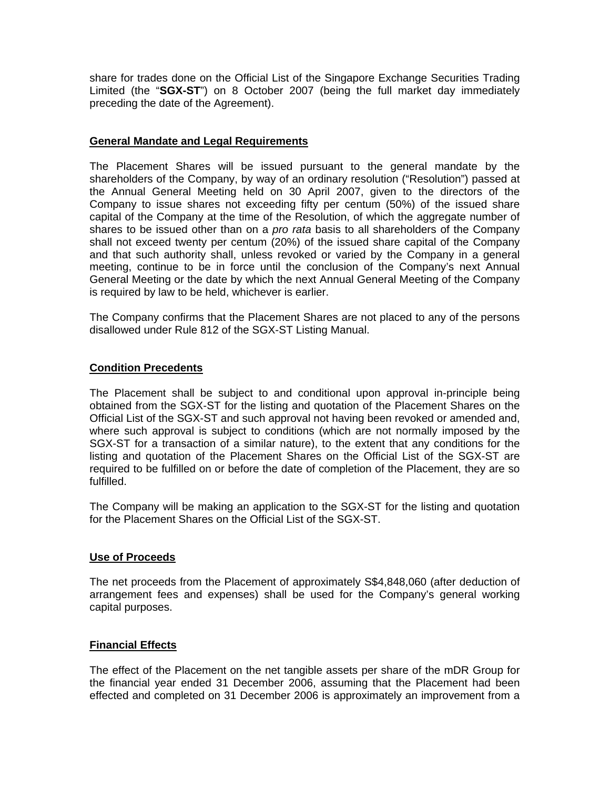share for trades done on the Official List of the Singapore Exchange Securities Trading Limited (the "**SGX-ST**") on 8 October 2007 (being the full market day immediately preceding the date of the Agreement).

## **General Mandate and Legal Requirements**

The Placement Shares will be issued pursuant to the general mandate by the shareholders of the Company, by way of an ordinary resolution ("Resolution") passed at the Annual General Meeting held on 30 April 2007, given to the directors of the Company to issue shares not exceeding fifty per centum (50%) of the issued share capital of the Company at the time of the Resolution, of which the aggregate number of shares to be issued other than on a *pro rata* basis to all shareholders of the Company shall not exceed twenty per centum (20%) of the issued share capital of the Company and that such authority shall, unless revoked or varied by the Company in a general meeting, continue to be in force until the conclusion of the Company's next Annual General Meeting or the date by which the next Annual General Meeting of the Company is required by law to be held, whichever is earlier.

The Company confirms that the Placement Shares are not placed to any of the persons disallowed under Rule 812 of the SGX-ST Listing Manual.

## **Condition Precedents**

The Placement shall be subject to and conditional upon approval in-principle being obtained from the SGX-ST for the listing and quotation of the Placement Shares on the Official List of the SGX-ST and such approval not having been revoked or amended and, where such approval is subject to conditions (which are not normally imposed by the SGX-ST for a transaction of a similar nature), to the extent that any conditions for the listing and quotation of the Placement Shares on the Official List of the SGX-ST are required to be fulfilled on or before the date of completion of the Placement, they are so fulfilled.

The Company will be making an application to the SGX-ST for the listing and quotation for the Placement Shares on the Official List of the SGX-ST.

## **Use of Proceeds**

The net proceeds from the Placement of approximately S\$4,848,060 (after deduction of arrangement fees and expenses) shall be used for the Company's general working capital purposes.

# **Financial Effects**

The effect of the Placement on the net tangible assets per share of the mDR Group for the financial year ended 31 December 2006, assuming that the Placement had been effected and completed on 31 December 2006 is approximately an improvement from a